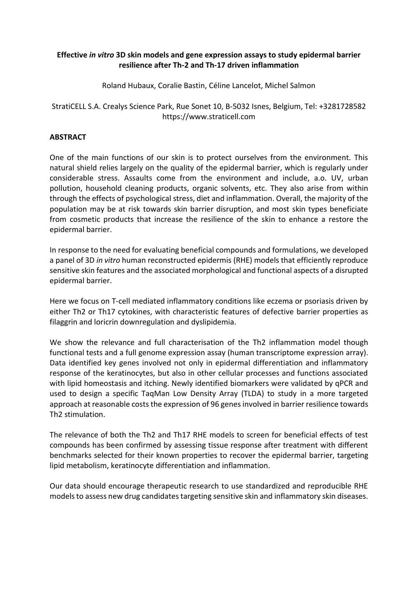## **Effective** *in vitro* **3D skin models and gene expression assays to study epidermal barrier resilience after Th-2 and Th-17 driven inflammation**

Roland Hubaux, Coralie Bastin, Céline Lancelot, Michel Salmon

# StratiCELL S.A. Crealys Science Park, Rue Sonet 10, B-5032 Isnes, Belgium, Tel: +3281728582 https://www.straticell.com

# **ABSTRACT**

One of the main functions of our skin is to protect ourselves from the environment. This natural shield relies largely on the quality of the epidermal barrier, which is regularly under considerable stress. Assaults come from the environment and include, a.o. UV, urban pollution, household cleaning products, organic solvents, etc. They also arise from within through the effects of psychological stress, diet and inflammation. Overall, the majority of the population may be at risk towards skin barrier disruption, and most skin types beneficiate from cosmetic products that increase the resilience of the skin to enhance a restore the epidermal barrier.

In response to the need for evaluating beneficial compounds and formulations, we developed a panel of 3D *in vitro* human reconstructed epidermis (RHE) models that efficiently reproduce sensitive skin features and the associated morphological and functional aspects of a disrupted epidermal barrier.

Here we focus on T-cell mediated inflammatory conditions like eczema or psoriasis driven by either Th2 or Th17 cytokines, with characteristic features of defective barrier properties as filaggrin and loricrin downregulation and dyslipidemia.

We show the relevance and full characterisation of the Th2 inflammation model though functional tests and a full genome expression assay (human transcriptome expression array). Data identified key genes involved not only in epidermal differentiation and inflammatory response of the keratinocytes, but also in other cellular processes and functions associated with lipid homeostasis and itching. Newly identified biomarkers were validated by qPCR and used to design a specific TaqMan Low Density Array (TLDA) to study in a more targeted approach at reasonable costs the expression of 96 genes involved in barrier resilience towards Th2 stimulation.

The relevance of both the Th2 and Th17 RHE models to screen for beneficial effects of test compounds has been confirmed by assessing tissue response after treatment with different benchmarks selected for their known properties to recover the epidermal barrier, targeting lipid metabolism, keratinocyte differentiation and inflammation.

Our data should encourage therapeutic research to use standardized and reproducible RHE models to assess new drug candidates targeting sensitive skin and inflammatory skin diseases.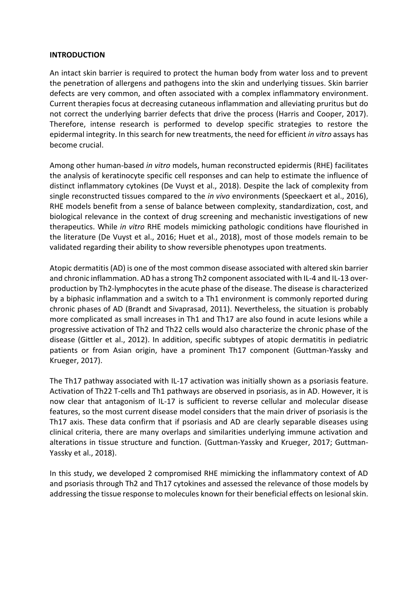### **INTRODUCTION**

An intact skin barrier is required to protect the human body from water loss and to prevent the penetration of allergens and pathogens into the skin and underlying tissues. Skin barrier defects are very common, and often associated with a complex inflammatory environment. Current therapies focus at decreasing cutaneous inflammation and alleviating pruritus but do not correct the underlying barrier defects that drive the process (Harris and Cooper, 2017). Therefore, intense research is performed to develop specific strategies to restore the epidermal integrity. In this search for new treatments, the need for efficient *in vitro* assays has become crucial.

Among other human-based *in vitro* models, human reconstructed epidermis (RHE) facilitates the analysis of keratinocyte specific cell responses and can help to estimate the influence of distinct inflammatory cytokines (De Vuyst et al., 2018). Despite the lack of complexity from single reconstructed tissues compared to the *in vivo* environments (Speeckaert et al., 2016), RHE models benefit from a sense of balance between complexity, standardization, cost, and biological relevance in the context of drug screening and mechanistic investigations of new therapeutics. While *in vitro* RHE models mimicking pathologic conditions have flourished in the literature (De Vuyst et al., 2016; Huet et al., 2018), most of those models remain to be validated regarding their ability to show reversible phenotypes upon treatments.

Atopic dermatitis (AD) is one of the most common disease associated with altered skin barrier and chronic inflammation. AD has a strong Th2 component associated with IL-4 and IL-13 overproduction by Th2-lymphocytes in the acute phase of the disease. The disease is characterized by a biphasic inflammation and a switch to a Th1 environment is commonly reported during chronic phases of AD (Brandt and Sivaprasad, 2011). Nevertheless, the situation is probably more complicated as small increases in Th1 and Th17 are also found in acute lesions while a progressive activation of Th2 and Th22 cells would also characterize the chronic phase of the disease (Gittler et al., 2012). In addition, specific subtypes of atopic dermatitis in pediatric patients or from Asian origin, have a prominent Th17 component (Guttman-Yassky and Krueger, 2017).

The Th17 pathway associated with IL-17 activation was initially shown as a psoriasis feature. Activation of Th22 T-cells and Th1 pathways are observed in psoriasis, as in AD. However, it is now clear that antagonism of IL-17 is sufficient to reverse cellular and molecular disease features, so the most current disease model considers that the main driver of psoriasis is the Th17 axis. These data confirm that if psoriasis and AD are clearly separable diseases using clinical criteria, there are many overlaps and similarities underlying immune activation and alterations in tissue structure and function. (Guttman-Yassky and Krueger, 2017; Guttman-Yassky et al., 2018).

In this study, we developed 2 compromised RHE mimicking the inflammatory context of AD and psoriasis through Th2 and Th17 cytokines and assessed the relevance of those models by addressing the tissue response to molecules known for their beneficial effects on lesional skin.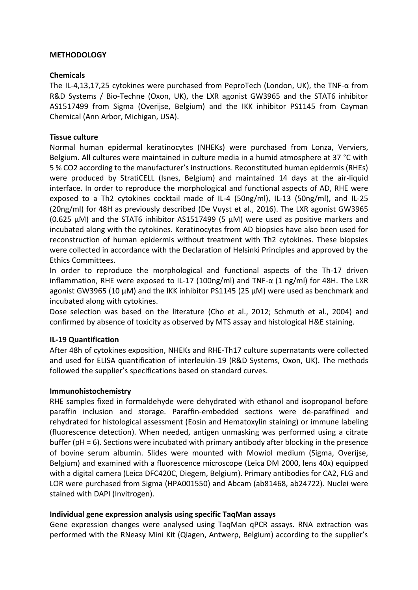## **METHODOLOGY**

## **Chemicals**

The IL-4,13,17,25 cytokines were purchased from PeproTech (London, UK), the TNF-α from R&D Systems / Bio-Techne (Oxon, UK), the LXR agonist GW3965 and the STAT6 inhibitor AS1517499 from Sigma (Overijse, Belgium) and the IKK inhibitor PS1145 from Cayman Chemical (Ann Arbor, Michigan, USA).

## **Tissue culture**

Normal human epidermal keratinocytes (NHEKs) were purchased from Lonza, Verviers, Belgium. All cultures were maintained in culture media in a humid atmosphere at 37 °C with 5 % CO2 according to the manufacturer's instructions. Reconstituted human epidermis (RHEs) were produced by StratiCELL (Isnes, Belgium) and maintained 14 days at the air-liquid interface. In order to reproduce the morphological and functional aspects of AD, RHE were exposed to a Th2 cytokines cocktail made of IL-4 (50ng/ml), IL-13 (50ng/ml), and IL-25 (20ng/ml) for 48H as previously described (De Vuyst et al., 2016). The LXR agonist GW3965 (0.625 µM) and the STAT6 inhibitor AS1517499 (5 µM) were used as positive markers and incubated along with the cytokines. Keratinocytes from AD biopsies have also been used for reconstruction of human epidermis without treatment with Th2 cytokines. These biopsies were collected in accordance with the Declaration of Helsinki Principles and approved by the Ethics Committees.

In order to reproduce the morphological and functional aspects of the Th-17 driven inflammation, RHE were exposed to IL-17 (100ng/ml) and TNF- $\alpha$  (1 ng/ml) for 48H. The LXR agonist GW3965 (10 µM) and the IKK inhibitor PS1145 (25 µM) were used as benchmark and incubated along with cytokines.

Dose selection was based on the literature (Cho et al., 2012; Schmuth et al., 2004) and confirmed by absence of toxicity as observed by MTS assay and histological H&E staining.

# **IL-19 Quantification**

After 48h of cytokines exposition, NHEKs and RHE-Th17 culture supernatants were collected and used for ELISA quantification of interleukin-19 (R&D Systems, Oxon, UK). The methods followed the supplier's specifications based on standard curves.

## **Immunohistochemistry**

RHE samples fixed in formaldehyde were dehydrated with ethanol and isopropanol before paraffin inclusion and storage. Paraffin-embedded sections were de-paraffined and rehydrated for histological assessment (Eosin and Hematoxylin staining) or immune labeling (fluorescence detection). When needed, antigen unmasking was performed using a citrate buffer (pH = 6). Sections were incubated with primary antibody after blocking in the presence of bovine serum albumin. Slides were mounted with Mowiol medium (Sigma, Overijse, Belgium) and examined with a fluorescence microscope (Leica DM 2000, lens 40x) equipped with a digital camera (Leica DFC420C, Diegem, Belgium). Primary antibodies for CA2, FLG and LOR were purchased from Sigma (HPA001550) and Abcam (ab81468, ab24722). Nuclei were stained with DAPI (Invitrogen).

## **Individual gene expression analysis using specific TaqMan assays**

Gene expression changes were analysed using TaqMan qPCR assays. RNA extraction was performed with the RNeasy Mini Kit (Qiagen, Antwerp, Belgium) according to the supplier's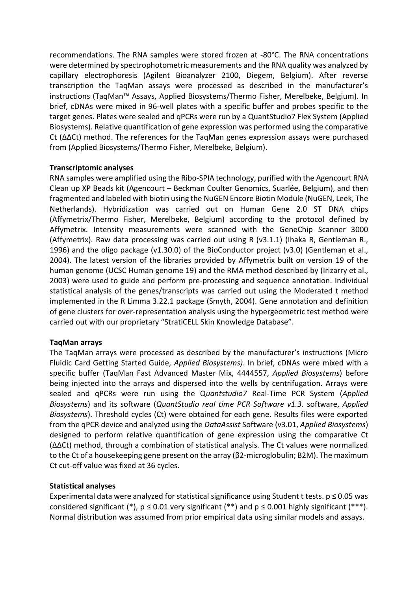recommendations. The RNA samples were stored frozen at -80°C. The RNA concentrations were determined by spectrophotometric measurements and the RNA quality was analyzed by capillary electrophoresis (Agilent Bioanalyzer 2100, Diegem, Belgium). After reverse transcription the TaqMan assays were processed as described in the manufacturer's instructions (TaqMan™ Assays, Applied Biosystems/Thermo Fisher, Merelbeke, Belgium). In brief, cDNAs were mixed in 96-well plates with a specific buffer and probes specific to the target genes. Plates were sealed and qPCRs were run by a QuantStudio7 Flex System (Applied Biosystems). Relative quantification of gene expression was performed using the comparative Ct (∆∆Ct) method. The references for the TaqMan genes expression assays were purchased from (Applied Biosystems/Thermo Fisher, Merelbeke, Belgium).

## **Transcriptomic analyses**

RNA samples were amplified using the Ribo-SPIA technology, purified with the Agencourt RNA Clean up XP Beads kit (Agencourt – Beckman Coulter Genomics, Suarlée, Belgium), and then fragmented and labeled with biotin using the NuGEN Encore Biotin Module (NuGEN, Leek, The Netherlands). Hybridization was carried out on Human Gene 2.0 ST DNA chips (Affymetrix/Thermo Fisher, Merelbeke, Belgium) according to the protocol defined by Affymetrix. Intensity measurements were scanned with the GeneChip Scanner 3000 (Affymetrix). Raw data processing was carried out using R (v3.1.1) (Ihaka R, Gentleman R., 1996) and the oligo package (v1.30.0) of the BioConductor project (v3.0) (Gentleman et al., 2004). The latest version of the libraries provided by Affymetrix built on version 19 of the human genome (UCSC Human genome 19) and the RMA method described by (Irizarry et al., 2003) were used to guide and perform pre-processing and sequence annotation. Individual statistical analysis of the genes/transcripts was carried out using the Moderated t method implemented in the R Limma 3.22.1 package (Smyth, 2004). Gene annotation and definition of gene clusters for over-representation analysis using the hypergeometric test method were carried out with our proprietary "StratiCELL Skin Knowledge Database".

# **TaqMan arrays**

The TaqMan arrays were processed as described by the manufacturer's instructions (Micro Fluidic Card Getting Started Guide, *Applied Biosystems)*. In brief, cDNAs were mixed with a specific buffer (TaqMan Fast Advanced Master Mix, 4444557, *Applied Biosystems*) before being injected into the arrays and dispersed into the wells by centrifugation. Arrays were sealed and qPCRs were run using the Q*uantstudio7* Real-Time PCR System (*Applied Biosystems*) and its software (*QuantStudio real time PCR Software v1.3.* software, *Applied Biosystems*). Threshold cycles (Ct) were obtained for each gene. Results files were exported from the qPCR device and analyzed using the *DataAssist* Software (v3.01, *Applied Biosystems*) designed to perform relative quantification of gene expression using the comparative Ct (∆∆Ct) method, through a combination of statistical analysis. The Ct values were normalized to the Ct of a housekeeping gene present on the array (β2-microglobulin; B2M). The maximum Ct cut-off value was fixed at 36 cycles.

# **Statistical analyses**

Experimental data were analyzed for statistical significance using Student t tests.  $p \le 0.05$  was considered significant (\*),  $p \le 0.01$  very significant (\*\*) and  $p \le 0.001$  highly significant (\*\*\*). Normal distribution was assumed from prior empirical data using similar models and assays.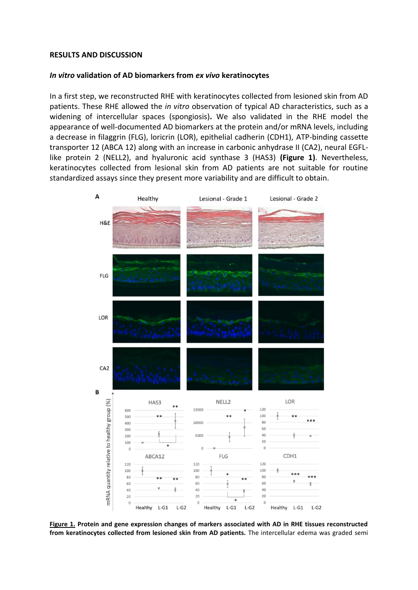#### **RESULTS AND DISCUSSION**

### *In vitro* **validation of AD biomarkers from** *ex vivo* **keratinocytes**

In a first step, we reconstructed RHE with keratinocytes collected from lesioned skin from AD patients. These RHE allowed the *in vitro* observation of typical AD characteristics, such as a widening of intercellular spaces (spongiosis)**.** We also validated in the RHE model the appearance of well-documented AD biomarkers at the protein and/or mRNA levels, including a decrease in filaggrin (FLG), loricrin (LOR), epithelial cadherin (CDH1), ATP-binding cassette transporter 12 (ABCA 12) along with an increase in carbonic anhydrase II (CA2), neural EGFLlike protein 2 (NELL2), and hyaluronic acid synthase 3 (HAS3) **(Figure 1)**. Nevertheless, keratinocytes collected from lesional skin from AD patients are not suitable for routine standardized assays since they present more variability and are difficult to obtain.



**Figure 1. Protein and gene expression changes of markers associated with AD in RHE tissues reconstructed from keratinocytes collected from lesioned skin from AD patients.** The intercellular edema was graded semi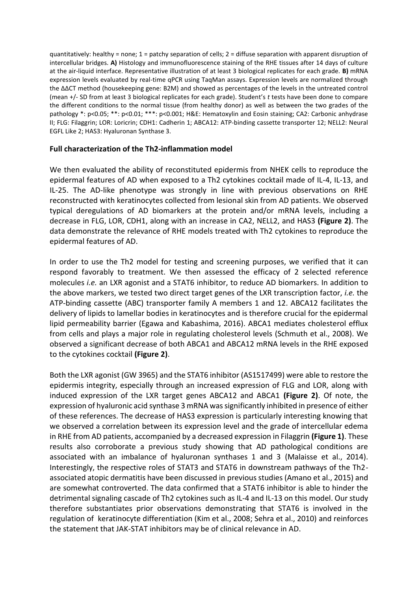quantitatively: healthy = none; 1 = patchy separation of cells; 2 = diffuse separation with apparent disruption of intercellular bridges. **A)** Histology and immunofluorescence staining of the RHE tissues after 14 days of culture at the air-liquid interface. Representative illustration of at least 3 biological replicates for each grade. **B)** mRNA expression levels evaluated by real-time qPCR using TaqMan assays. Expression levels are normalized through the ∆∆CT method (housekeeping gene: B2M) and showed as percentages of the levels in the untreated control (mean +/- SD from at least 3 biological replicates for each grade). Student's *t* tests have been done to compare the different conditions to the normal tissue (from healthy donor) as well as between the two grades of the pathology \*: p<0.05; \*\*: p<0.01; \*\*\*: p<0.001; H&E: Hematoxylin and Eosin staining; CA2: Carbonic anhydrase II; FLG: Filaggrin; LOR: Loricrin; CDH1: Cadherin 1; ABCA12: ATP-binding cassette transporter 12; NELL2: Neural EGFL Like 2; HAS3: Hyaluronan Synthase 3.

## **Full characterization of the Th2-inflammation model**

We then evaluated the ability of reconstituted epidermis from NHEK cells to reproduce the epidermal features of AD when exposed to a Th2 cytokines cocktail made of IL-4, IL-13, and IL-25. The AD-like phenotype was strongly in line with previous observations on RHE reconstructed with keratinocytes collected from lesional skin from AD patients. We observed typical deregulations of AD biomarkers at the protein and/or mRNA levels, including a decrease in FLG, LOR, CDH1, along with an increase in CA2, NELL2, and HAS3 **(Figure 2)**. The data demonstrate the relevance of RHE models treated with Th2 cytokines to reproduce the epidermal features of AD.

In order to use the Th2 model for testing and screening purposes, we verified that it can respond favorably to treatment. We then assessed the efficacy of 2 selected reference molecules *i.e.* an LXR agonist and a STAT6 inhibitor, to reduce AD biomarkers. In addition to the above markers, we tested two direct target genes of the LXR transcription factor, *i.e.* the ATP-binding cassette (ABC) transporter family A members 1 and 12. ABCA12 facilitates the delivery of lipids to lamellar bodies in keratinocytes and is therefore crucial for the epidermal lipid permeability barrier (Egawa and Kabashima, 2016). ABCA1 mediates cholesterol efflux from cells and plays a major role in regulating cholesterol levels (Schmuth et al., 2008). We observed a significant decrease of both ABCA1 and ABCA12 mRNA levels in the RHE exposed to the cytokines cocktail **(Figure 2)**.

Both the LXR agonist (GW 3965) and the STAT6 inhibitor (AS1517499) were able to restore the epidermis integrity, especially through an increased expression of FLG and LOR, along with induced expression of the LXR target genes ABCA12 and ABCA1 **(Figure 2)**. Of note, the expression of hyaluronic acid synthase 3 mRNA was significantly inhibited in presence of either of these references. The decrease of HAS3 expression is particularly interesting knowing that we observed a correlation between its expression level and the grade of intercellular edema in RHE from AD patients, accompanied by a decreased expression in Filaggrin **(Figure 1)**. These results also corroborate a previous study showing that AD pathological conditions are associated with an imbalance of hyaluronan synthases 1 and 3 (Malaisse et al., 2014). Interestingly, the respective roles of STAT3 and STAT6 in downstream pathways of the Th2 associated atopic dermatitis have been discussed in previous studies (Amano et al., 2015) and are somewhat controverted. The data confirmed that a STAT6 inhibitor is able to hinder the detrimental signaling cascade of Th2 cytokines such as IL-4 and IL-13 on this model. Our study therefore substantiates prior observations demonstrating that STAT6 is involved in the regulation of keratinocyte differentiation (Kim et al., 2008; Sehra et al., 2010) and reinforces the statement that JAK-STAT inhibitors may be of clinical relevance in AD.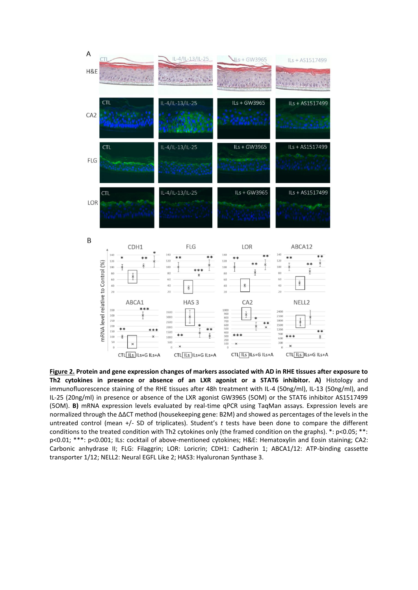

**Figure 2. Protein and gene expression changes of markers associated with AD in RHE tissues after exposure to Th2 cytokines in presence or absence of an LXR agonist or a STAT6 inhibitor. A)** Histology and immunofluorescence staining of the RHE tissues after 48h treatment with IL-4 (50ng/ml), IL-13 (50ng/ml), and IL-25 (20ng/ml) in presence or absence of the LXR agonist GW3965 (5OM) or the STAT6 inhibitor AS1517499 (5OM). **B)** mRNA expression levels evaluated by real-time qPCR using TaqMan assays. Expression levels are normalized through the ∆∆CT method (housekeeping gene: B2M) and showed as percentages of the levels in the untreated control (mean +/- SD of triplicates). Student's *t* tests have been done to compare the different conditions to the treated condition with Th2 cytokines only (the framed condition on the graphs). \*: p<0.05; \*\*: p<0.01; \*\*\*: p<0.001; ILs: cocktail of above-mentioned cytokines; H&E: Hematoxylin and Eosin staining; CA2: Carbonic anhydrase II; FLG: Filaggrin; LOR: Loricrin; CDH1: Cadherin 1; ABCA1/12: ATP-binding cassette transporter 1/12; NELL2: Neural EGFL Like 2; HAS3: Hyaluronan Synthase 3.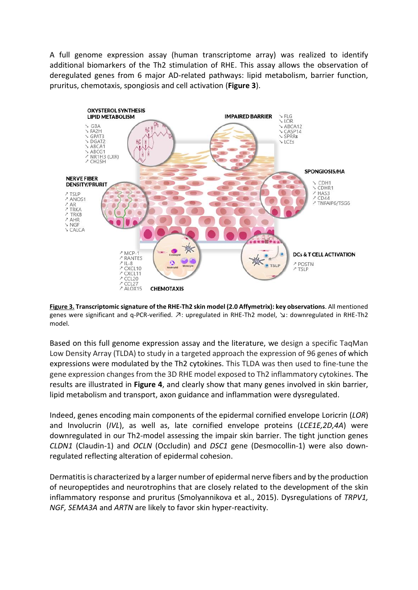A full genome expression assay (human transcriptome array) was realized to identify additional biomarkers of the Th2 stimulation of RHE. This assay allows the observation of deregulated genes from 6 major AD-related pathways: lipid metabolism, barrier function, pruritus, chemotaxis, spongiosis and cell activation (**Figure 3**).



**Figure 3. Transcriptomic signature of the RHE-Th2 skin model (2.0 Affymetrix): key observations**. All mentioned genes were significant and q-PCR-verified.  $\bar{\nu}$ : upregulated in RHE-Th2 model,  $\bar{\nu}$ : downregulated in RHE-Th2 model.

Based on this full genome expression assay and the literature, we design a specific TaqMan Low Density Array (TLDA) to study in a targeted approach the expression of 96 genes of which expressions were modulated by the Th2 cytokines. This TLDA was then used to fine-tune the gene expression changes from the 3D RHE model exposed to Th2 inflammatory cytokines. The results are illustrated in **Figure 4**, and clearly show that many genes involved in skin barrier, lipid metabolism and transport, axon guidance and inflammation were dysregulated.

Indeed, genes encoding main components of the epidermal cornified envelope Loricrin (*LOR*) and Involucrin (*IVL*), as well as, late cornified envelope proteins (*LCE1E,2D,4A*) were downregulated in our Th2-model assessing the impair skin barrier. The tight junction genes *CLDN1* (Claudin-1) and *OCLN* (Occludin) and *DSC1* gene (Desmocollin-1) were also downregulated reflecting alteration of epidermal cohesion.

Dermatitis is characterized by a larger number of epidermal nerve fibers and by the production of neuropeptides and neurotrophins that are closely related to the development of the skin inflammatory response and pruritus (Smolyannikova et al., 2015). Dysregulations of *TRPV1, NGF, SEMA3A* and *ARTN* are likely to favor skin hyper-reactivity.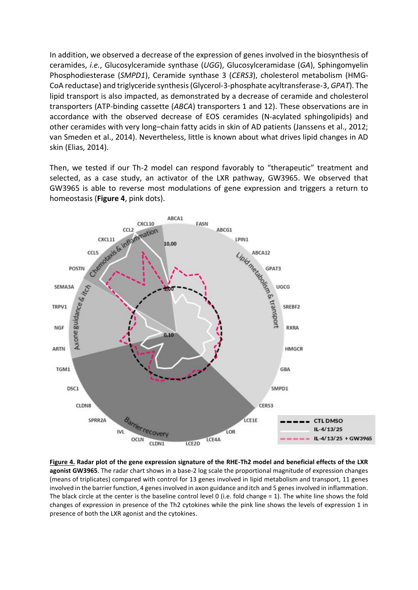In addition, we observed a decrease of the expression of genes involved in the biosynthesis of ceramides, *i.e.*, Glucosylceramide synthase (*UGG*), Glucosylceramidase (*GA*), Sphingomyelin Phosphodiesterase (*SMPD1*), Ceramide synthase 3 (*CERS3*), cholesterol metabolism (HMG-CoA reductase) and triglyceride synthesis(Glycerol-3-phosphate acyltransferase-3, *GPAT*). The lipid transport is also impacted, as demonstrated by a decrease of ceramide and cholesterol transporters (ATP-binding cassette (*ABCA*) transporters 1 and 12). These observations are in accordance with the observed decrease of EOS ceramides (N-acylated sphingolipids) and other ceramides with very long–chain fatty acids in skin of AD patients (Janssens et al., 2012; van Smeden et al., 2014). Nevertheless, little is known about what drives lipid changes in AD skin (Elias, 2014).

Then, we tested if our Th-2 model can respond favorably to "therapeutic" treatment and selected, as a case study, an activator of the LXR pathway, GW3965. We observed that GW3965 is able to reverse most modulations of gene expression and triggers a return to homeostasis (**Figure 4**, pink dots).



**Figure 4. Radar plot of the gene expression signature of the RHE-Th2 model and beneficial effects of the LXR agonist GW3965**. The radar chart shows in a base-2 log scale the proportional magnitude of expression changes (means of triplicates) compared with control for 13 genes involved in lipid metabolism and transport, 11 genes involved in the barrier function, 4 genes involved in axon guidance and itch and 5 genes involved in inflammation. The black circle at the center is the baseline control level 0 (i.e. fold change = 1). The white line shows the fold changes of expression in presence of the Th2 cytokines while the pink line shows the levels of expression 1 in presence of both the LXR agonist and the cytokines.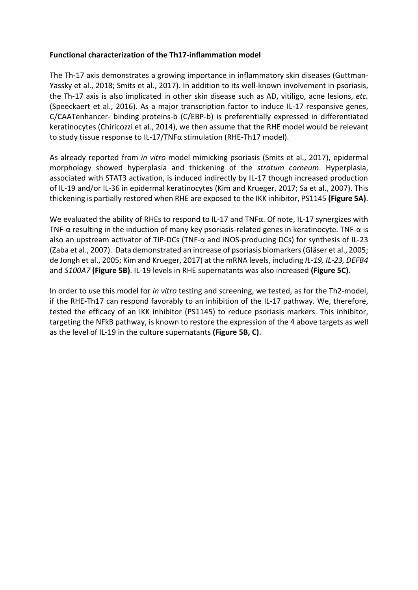## **Functional characterization of the Th17-inflammation model**

The Th-17 axis demonstrates a growing importance in inflammatory skin diseases (Guttman-Yassky et al., 2018; Smits et al., 2017). In addition to its well-known involvement in psoriasis, the Th-17 axis is also implicated in other skin disease such as AD, vitiligo, acne lesions, *etc.* (Speeckaert et al., 2016). As a major transcription factor to induce IL-17 responsive genes, C/CAATenhancer- binding proteins-b (C/EBP-b) is preferentially expressed in differentiated keratinocytes (Chiricozzi et al., 2014), we then assume that the RHE model would be relevant to study tissue response to IL-17/TNFα stimulation (RHE-Th17 model).

As already reported from *in vitro* model mimicking psoriasis (Smits et al., 2017), epidermal morphology showed hyperplasia and thickening of the *stratum corneum*. Hyperplasia, associated with STAT3 activation, is induced indirectly by IL-17 though increased production of IL-19 and/or IL-36 in epidermal keratinocytes (Kim and Krueger, 2017; Sa et al., 2007). This thickening is partially restored when RHE are exposed to the IKK inhibitor, PS1145 **(Figure 5A)**.

We evaluated the ability of RHEs to respond to IL-17 and TNFα. Of note, IL-17 synergizes with TNF-α resulting in the induction of many key psoriasis-related genes in keratinocyte. TNF-α is also an upstream activator of TIP-DCs (TNF- $\alpha$  and iNOS-producing DCs) for synthesis of IL-23 (Zaba et al., 2007). Data demonstrated an increase of psoriasis biomarkers (Gläser et al., 2005; de Jongh et al., 2005; Kim and Krueger, 2017) at the mRNA levels, including *IL-19, IL-23, DEFB4*  and *S100A7* **(Figure 5B)**. IL-19 levels in RHE supernatants was also increased **(Figure 5C)**.

In order to use this model for *in vitro* testing and screening, we tested, as for the Th2-model, if the RHE-Th17 can respond favorably to an inhibition of the IL-17 pathway. We, therefore, tested the efficacy of an IKK inhibitor (PS1145) to reduce psoriasis markers. This inhibitor, targeting the NFƙB pathway, is known to restore the expression of the 4 above targets as well as the level of IL-19 in the culture supernatants **(Figure 5B, C)**.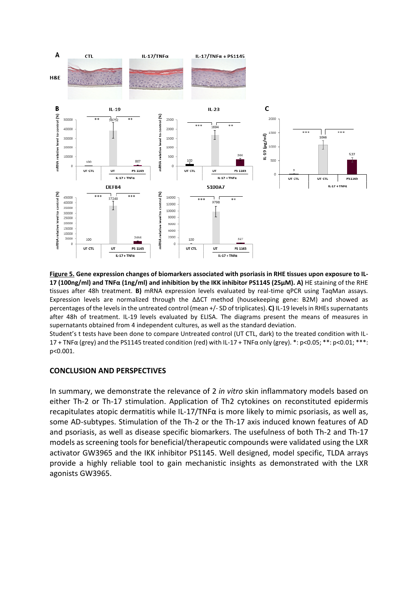

**Figure 5. Gene expression changes of biomarkers associated with psoriasis in RHE tissues upon exposure to IL-17 (100ng/ml) and TNFα (1ng/ml) and inhibition by the IKK inhibitor PS1145 (25µM). A)** HE staining of the RHE tissues after 48h treatment. **B)** mRNA expression levels evaluated by real-time qPCR using TaqMan assays. Expression levels are normalized through the ∆∆CT method (housekeeping gene: B2M) and showed as percentages of the levels in the untreated control (mean +/- SD of triplicates). **C)** IL-19 levels in RHEs supernatants after 48h of treatment. IL-19 levels evaluated by ELISA. The diagrams present the means of measures in supernatants obtained from 4 independent cultures, as well as the standard deviation.

Student's t tests have been done to compare Untreated control (UT CTL, dark) to the treated condition with IL-17 + TNFα (grey) and the PS1145 treated condition (red) with IL-17 + TNFα only (grey). \*: p<0.05; \*\*: p<0.01; \*\*\*: p<0.001.

#### **CONCLUSION AND PERSPECTIVES**

In summary, we demonstrate the relevance of 2 *in vitro* skin inflammatory models based on either Th-2 or Th-17 stimulation. Application of Th2 cytokines on reconstituted epidermis recapitulates atopic dermatitis while IL-17/TNF $\alpha$  is more likely to mimic psoriasis, as well as, some AD-subtypes. Stimulation of the Th-2 or the Th-17 axis induced known features of AD and psoriasis, as well as disease specific biomarkers. The usefulness of both Th-2 and Th-17 models as screening tools for beneficial/therapeutic compounds were validated using the LXR activator GW3965 and the IKK inhibitor PS1145. Well designed, model specific, TLDA arrays provide a highly reliable tool to gain mechanistic insights as demonstrated with the LXR agonists GW3965.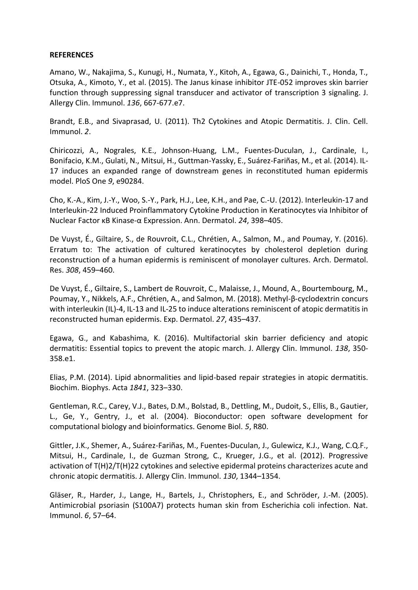### **REFERENCES**

Amano, W., Nakajima, S., Kunugi, H., Numata, Y., Kitoh, A., Egawa, G., Dainichi, T., Honda, T., Otsuka, A., Kimoto, Y., et al. (2015). The Janus kinase inhibitor JTE-052 improves skin barrier function through suppressing signal transducer and activator of transcription 3 signaling. J. Allergy Clin. Immunol. *136*, 667-677.e7.

Brandt, E.B., and Sivaprasad, U. (2011). Th2 Cytokines and Atopic Dermatitis. J. Clin. Cell. Immunol. *2*.

Chiricozzi, A., Nograles, K.E., Johnson-Huang, L.M., Fuentes-Duculan, J., Cardinale, I., Bonifacio, K.M., Gulati, N., Mitsui, H., Guttman-Yassky, E., Suárez-Fariñas, M., et al. (2014). IL-17 induces an expanded range of downstream genes in reconstituted human epidermis model. PloS One *9*, e90284.

Cho, K.-A., Kim, J.-Y., Woo, S.-Y., Park, H.J., Lee, K.H., and Pae, C.-U. (2012). Interleukin-17 and Interleukin-22 Induced Proinflammatory Cytokine Production in Keratinocytes via Inhibitor of Nuclear Factor κB Kinase-α Expression. Ann. Dermatol. *24*, 398–405.

De Vuyst, É., Giltaire, S., de Rouvroit, C.L., Chrétien, A., Salmon, M., and Poumay, Y. (2016). Erratum to: The activation of cultured keratinocytes by cholesterol depletion during reconstruction of a human epidermis is reminiscent of monolayer cultures. Arch. Dermatol. Res. *308*, 459–460.

De Vuyst, É., Giltaire, S., Lambert de Rouvroit, C., Malaisse, J., Mound, A., Bourtembourg, M., Poumay, Y., Nikkels, A.F., Chrétien, A., and Salmon, M. (2018). Methyl-β-cyclodextrin concurs with interleukin (IL)-4, IL-13 and IL-25 to induce alterations reminiscent of atopic dermatitis in reconstructed human epidermis. Exp. Dermatol. *27*, 435–437.

Egawa, G., and Kabashima, K. (2016). Multifactorial skin barrier deficiency and atopic dermatitis: Essential topics to prevent the atopic march. J. Allergy Clin. Immunol. *138*, 350- 358.e1.

Elias, P.M. (2014). Lipid abnormalities and lipid-based repair strategies in atopic dermatitis. Biochim. Biophys. Acta *1841*, 323–330.

Gentleman, R.C., Carey, V.J., Bates, D.M., Bolstad, B., Dettling, M., Dudoit, S., Ellis, B., Gautier, L., Ge, Y., Gentry, J., et al. (2004). Bioconductor: open software development for computational biology and bioinformatics. Genome Biol. *5*, R80.

Gittler, J.K., Shemer, A., Suárez-Fariñas, M., Fuentes-Duculan, J., Gulewicz, K.J., Wang, C.Q.F., Mitsui, H., Cardinale, I., de Guzman Strong, C., Krueger, J.G., et al. (2012). Progressive activation of T(H)2/T(H)22 cytokines and selective epidermal proteins characterizes acute and chronic atopic dermatitis. J. Allergy Clin. Immunol. *130*, 1344–1354.

Gläser, R., Harder, J., Lange, H., Bartels, J., Christophers, E., and Schröder, J.-M. (2005). Antimicrobial psoriasin (S100A7) protects human skin from Escherichia coli infection. Nat. Immunol. *6*, 57–64.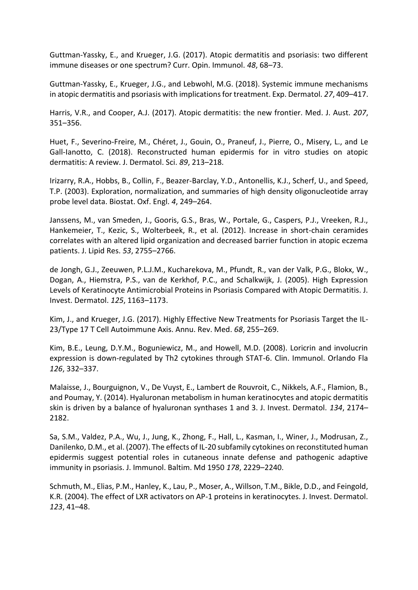Guttman-Yassky, E., and Krueger, J.G. (2017). Atopic dermatitis and psoriasis: two different immune diseases or one spectrum? Curr. Opin. Immunol. *48*, 68–73.

Guttman-Yassky, E., Krueger, J.G., and Lebwohl, M.G. (2018). Systemic immune mechanisms in atopic dermatitis and psoriasis with implications for treatment. Exp. Dermatol. *27*, 409–417.

Harris, V.R., and Cooper, A.J. (2017). Atopic dermatitis: the new frontier. Med. J. Aust. *207*, 351–356.

Huet, F., Severino-Freire, M., Chéret, J., Gouin, O., Praneuf, J., Pierre, O., Misery, L., and Le Gall-Ianotto, C. (2018). Reconstructed human epidermis for in vitro studies on atopic dermatitis: A review. J. Dermatol. Sci. *89*, 213–218.

Irizarry, R.A., Hobbs, B., Collin, F., Beazer-Barclay, Y.D., Antonellis, K.J., Scherf, U., and Speed, T.P. (2003). Exploration, normalization, and summaries of high density oligonucleotide array probe level data. Biostat. Oxf. Engl. *4*, 249–264.

Janssens, M., van Smeden, J., Gooris, G.S., Bras, W., Portale, G., Caspers, P.J., Vreeken, R.J., Hankemeier, T., Kezic, S., Wolterbeek, R., et al. (2012). Increase in short-chain ceramides correlates with an altered lipid organization and decreased barrier function in atopic eczema patients. J. Lipid Res. *53*, 2755–2766.

de Jongh, G.J., Zeeuwen, P.L.J.M., Kucharekova, M., Pfundt, R., van der Valk, P.G., Blokx, W., Dogan, A., Hiemstra, P.S., van de Kerkhof, P.C., and Schalkwijk, J. (2005). High Expression Levels of Keratinocyte Antimicrobial Proteins in Psoriasis Compared with Atopic Dermatitis. J. Invest. Dermatol. *125*, 1163–1173.

Kim, J., and Krueger, J.G. (2017). Highly Effective New Treatments for Psoriasis Target the IL-23/Type 17 T Cell Autoimmune Axis. Annu. Rev. Med. *68*, 255–269.

Kim, B.E., Leung, D.Y.M., Boguniewicz, M., and Howell, M.D. (2008). Loricrin and involucrin expression is down-regulated by Th2 cytokines through STAT-6. Clin. Immunol. Orlando Fla *126*, 332–337.

Malaisse, J., Bourguignon, V., De Vuyst, E., Lambert de Rouvroit, C., Nikkels, A.F., Flamion, B., and Poumay, Y. (2014). Hyaluronan metabolism in human keratinocytes and atopic dermatitis skin is driven by a balance of hyaluronan synthases 1 and 3. J. Invest. Dermatol. *134*, 2174– 2182.

Sa, S.M., Valdez, P.A., Wu, J., Jung, K., Zhong, F., Hall, L., Kasman, I., Winer, J., Modrusan, Z., Danilenko, D.M., et al. (2007). The effects of IL-20 subfamily cytokines on reconstituted human epidermis suggest potential roles in cutaneous innate defense and pathogenic adaptive immunity in psoriasis. J. Immunol. Baltim. Md 1950 *178*, 2229–2240.

Schmuth, M., Elias, P.M., Hanley, K., Lau, P., Moser, A., Willson, T.M., Bikle, D.D., and Feingold, K.R. (2004). The effect of LXR activators on AP-1 proteins in keratinocytes. J. Invest. Dermatol. *123*, 41–48.